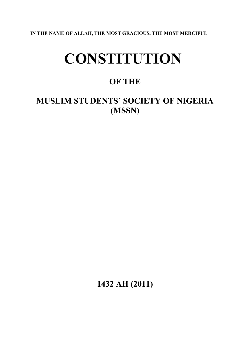**IN THE NAME OF ALLAH, THE MOST GRACIOUS, THE MOST MERCIFUL**

# **CONSTITUTION**

# **OF THE**

**MUSLIM STUDENTS' SOCIETY OF NIGERIA (MSSN)**

**1432 AH (2011)**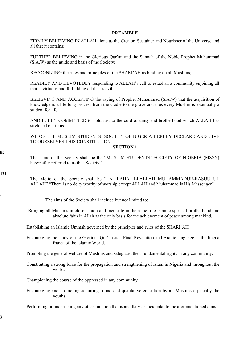#### **PREAMBLE**

FIRMLY BELIEVING IN ALLAH alone as the Creator, Sustainer and Nourisher of the Universe and all that it contains;

FURTHER BELIEVING in the Glorious Qur'an and the Sunnah of the Noble Prophet Muhammad (S.A.W) as the guide and basis of the Society;

RECOGNIZING the rules and principles of the SHARI'AH as binding on all Muslims;

READILY AND DEVOTEDLY responding to ALLAH's call to establish a community enjoining all that is virtuous and forbidding all that is evil;

BELIEVING AND ACCEPTING the saying of Prophet Muhammad (S.A.W) that the acquisition of knowledge is a life long process from the cradle to the grave and thus every Muslim is essentially a student for life;

AND FULLY COMMITTED to hold fast to the cord of unity and brotherhood which ALLAH has stretched out to us;

WE OF THE MUSLIM STUDENTS' SOCIETY OF NIGERIA HEREBY DECLARE AND GIVE TO OURSELVES THIS CONSTITUTION.

#### **SECTION 1**

The name of the Society shall be the "MUSLIM STUDENTS' SOCIETY OF NIGERIA (MSSN) hereinafter referred to as the "Society".

**MOTTO**

 $\mathbf{E:}$ 

The Motto of the Society shall be "LA ILAHA ILLALLAH MUHAMMADUR-RASUULUL ALLAH" "There is no deity worthy of worship except ALLAH and Muhammad is His Messenger".

**AIMS**

 $\bf S$ 

The aims of the Society shall include but not limited to:

 Bringing all Muslims in closer union and inculcate in them the true Islamic spirit of brotherhood and absolute faith in Allah as the only basis for the achievement of peace among mankind.

Establishing an Islamic Ummah governed by the principles and rules of the SHARI'AH.

Encouraging the study of the Glorious Qur'an as a Final Revelation and Arabic language as the lingua franca of the Islamic World.

Promoting the general welfare of Muslims and safeguard their fundamental rights in any community.

Constituting a strong force for the propagation and strengthening of Islam in Nigeria and throughout the world.

Championing the course of the oppressed in any community.

Encouraging and promoting acquiring sound and qualitative education by all Muslims especially the youths.

Performing or undertaking any other function that is ancillary or incidental to the aforementioned aims.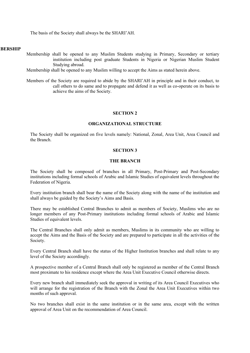The basis of the Society shall always be the SHARI'AH.

#### **RERSHIP**

- Membership shall be opened to any Muslim Students studying in Primary, Secondary or tertiary institution including post graduate Students in Nigeria or Nigerian Muslim Student Studying abroad.
- Membership shall be opened to any Muslim willing to accept the Aims as stated herein above.
- Members of the Society are required to abide by the SHARI'AH in principle and in their conduct, to call others to do same and to propagate and defend it as well as co-operate on its basis to achieve the aims of the Society.

# **SECTION 2**

# **ORGANIZATIONAL STRUCTURE**

The Society shall be organized on five levels namely: National, Zonal, Area Unit, Area Council and the Branch.

#### **SECTION 3**

#### **THE BRANCH**

The Society shall be composed of branches in all Primary, Post-Primary and Post-Secondary institutions including formal schools of Arabic and Islamic Studies of equivalent levels throughout the Federation of Nigeria.

Every institution branch shall bear the name of the Society along with the name of the institution and shall always be guided by the Society's Aims and Basis.

There may be established Central Branches to admit as members of Society, Muslims who are no longer members of any Post-Primary institutions including formal schools of Arabic and Islamic Studies of equivalent levels.

The Central Branches shall only admit as members, Muslims in its community who are willing to accept the Aims and the Basis of the Society and are prepared to participate in all the activities of the Society.

Every Central Branch shall have the status of the Higher Institution branches and shall relate to any level of the Society accordingly.

A prospective member of a Central Branch shall only be registered as member of the Central Branch most proximate to his residence except where the Area Unit Executive Council otherwise directs.

Every new branch shall immediately seek the approval in writing of its Area Council Executives who will arrange for the registration of the Branch with the Zonal the Area Unit Executives within two months of such approval.

No two branches shall exist in the same institution or in the same area, except with the written approval of Area Unit on the recommendation of Area Council.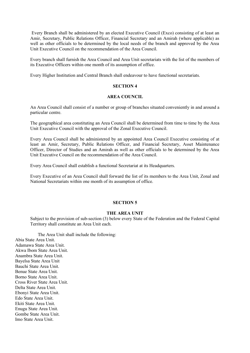Every Branch shall be administered by an elected Executive Council (Exco) consisting of at least an Amir, Secretary, Public Relations Officer, Financial Secretary and an Amirah (where applicable) as well as other officials to be determined by the local needs of the branch and approved by the Area Unit Executive Council on the recommendation of the Area Council.

Every branch shall furnish the Area Council and Area Unit secretariats with the list of the members of its Executive Officers within one month of its assumption of office.

Every Higher Institution and Central Branch shall endeavour to have functional secretariats.

# **SECTION 4**

#### **AREA COUNCIL**

An Area Council shall consist of a number or group of branches situated conveniently in and around a particular centre.

The geographical area constituting an Area Council shall be determined from time to time by the Area Unit Executive Council with the approval of the Zonal Executive Council.

Every Area Council shall be administered by an appointed Area Council Executive consisting of at least an Amir, Secretary, Public Relations Officer, and Financial Secretary, Asset Maintenance Officer, Director of Studies and an Amirah as well as other officials to be determined by the Area Unit Executive Council on the recommendation of the Area Council.

Every Area Council shall establish a functional Secretariat at its Headquarters.

Every Executive of an Area Council shall forward the list of its members to the Area Unit, Zonal and National Secretariats within one month of its assumption of office.

#### **SECTION 5**

#### **THE AREA UNIT**

Subject to the provision of sub-section (3) below every State of the Federation and the Federal Capital Territory shall constitute an Area Unit each.

The Area Unit shall include the following: Abia State Area Unit. Adamawa State Area Unit. Akwa Ibom State Area Unit. Anambra State Area Unit. Bayelsa State Area Unit Bauchi State Area Unit. Benue State Area Unit. Borno State Area Unit. Cross River State Area Unit. Delta State Area Unit. Ebonyi State Area Unit. Edo State Area Unit. Ekiti State Area Unit. Enugu State Area Unit. Gombe State Area Unit. Imo State Area Unit.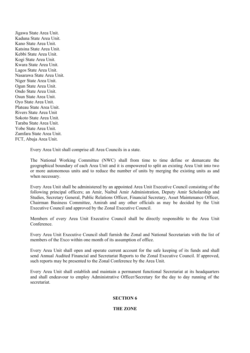Jigawa State Area Unit. Kaduna State Area Unit. Kano State Area Unit. Katsina State Area Unit. Kebbi State Area Unit. Kogi State Area Unit. Kwara State Area Unit. Lagos State Area Unit. Nasarawa State Area Unit. Niger State Area Unit. Ogun State Area Unit. Ondo State Area Unit. Osun State Area Unit. Oyo State Area Unit. Plateau State Area Unit. Rivers State Area Unit Sokoto State Area Unit. Taraba State Area Unit. Yobe State Area Unit. Zamfara State Area Unit. FCT, Abuja Area Unit.

Every Area Unit shall comprise all Area Councils in a state.

The National Working Committee (NWC) shall from time to time define or demarcate the geographical boundary of each Area Unit and it is empowered to split an existing Area Unit into two or more autonomous units and to reduce the number of units by merging the existing units as and when necessary.

Every Area Unit shall be administered by an appointed Area Unit Executive Council consisting of the following principal officers; an Amir, Naibul Amir Administration, Deputy Amir Scholarship and Studies, Secretary General, Public Relations Officer, Financial Secretary, Asset Maintenance Officer, Chairman Business Committee, Amirah and any other officials as may be decided by the Unit Executive Council and approved by the Zonal Executive Council.

Members of every Area Unit Executive Council shall be directly responsible to the Area Unit Conference.

Every Area Unit Executive Council shall furnish the Zonal and National Secretariats with the list of members of the Exco within one month of its assumption of office.

Every Area Unit shall open and operate current account for the safe keeping of its funds and shall send Annual Audited Financial and Secretariat Reports to the Zonal Executive Council. If approved, such reports may be presented to the Zonal Conference by the Area Unit.

Every Area Unit shall establish and maintain a permanent functional Secretariat at its headquarters and shall endeavour to employ Administrative Officer/Secretary for the day to day running of the secretariat.

#### **SECTION 6**

#### **THE ZONE**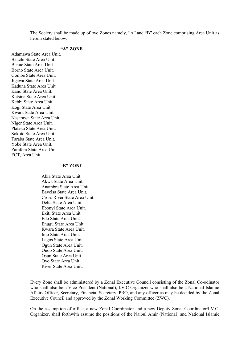The Society shall be made up of two Zones namely, "A" and "B" each Zone comprising Area Unit as herein stated below:

# **"A" ZONE**

Adamawa State Area Unit. Bauchi State Area Unit. Benue State Area Unit. Borno State Area Unit. Gombe State Area Unit. Jigawa State Area Unit. Kaduna State Area Unit. Kano State Area Unit. Katsina State Area Unit. Kebbi State Area Unit. Kogi State Area Unit. Kwara State Area Unit. Nasarawa State Area Unit. Niger State Area Unit. Plateau State Area Unit. Sokoto State Area Unit. Taraba State Area Unit. Yobe State Area Unit. Zamfara State Area Unit. FCT, Area Unit.

#### **"B" ZONE**

Abia State Area Unit. Akwa State Area Unit. Anambra State Area Unit. Bayelsa State Area Unit. Cross River State Area Unit. Delta State Area Unit. Ebonyi State Area Unit. Ekiti State Area Unit. Edo State Area Unit. Enugu State Area Unit. Kwara State Area Unit. Imo State Area Unit. Lagos State Area Unit. Ogun State Area Unit. Ondo State Area Unit. Osun State Area Unit. Oyo State Area Unit. River State Area Unit.

Every Zone shall be administered by a Zonal Executive Council consisting of the Zonal Co-odinator who shall also be a Vice President (National), I.V.C Organizer who shall also be a National Islamic Affairs Officer, Secretary, Financial Secretary, PRO, and any officer as may be decided by the Zonal Executive Council and approved by the Zonal Working Committee (ZWC).

On the assumption of office, a new Zonal Coordinator and a new Deputy Zonal Coordinator/I.V.C, Organizer, shall forthwith assume the positions of the Naibul Amir (National) and National Islamic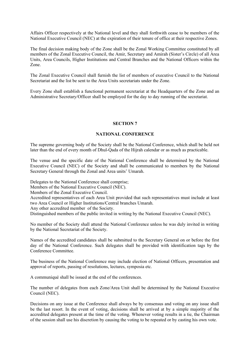Affairs Officer respectively at the National level and they shall forthwith cease to be members of the National Executive Council (NEC) at the expiration of their tenure of office at their respective Zones.

The final decision making body of the Zone shall be the Zonal Working Committee constituted by all members of the Zonal Executive Council, the Amir, Secretary and Amirah (Sister's Circle) of all Area Units, Area Councils, Higher Institutions and Central Branches and the National Officers within the Zone.

The Zonal Executive Council shall furnish the list of members of executive Council to the National Secretariat and the list be sent to the Area Units secretariats under the Zone.

Every Zone shall establish a functional permanent secretariat at the Headquarters of the Zone and an Administrative Secretary/Officer shall be employed for the day to day running of the secretariat.

#### **SECTION 7**

#### **NATIONAL CONFERENCE**

The supreme governing body of the Society shall be the National Conference, which shall be held not later than the end of every month of Dhul-Qada of the Hijrah calendar or as much as practicable.

The venue and the specific date of the National Conference shall be determined by the National Executive Council (NEC) of the Society and shall be communicated to members by the National Secretary General through the Zonal and Area units' Umarah.

Delegates to the National Conference shall comprise;

Members of the National Executive Council (NEC).

Members of the Zonal Executive Council.

Accredited representatives of each Area Unit provided that such representatives must include at least two Area Council or Higher Institutions/Central branches Umarah.

Any other accredited member of the Society.

Distinguished members of the public invited in writing by the National Executive Council (NEC).

No member of the Society shall attend the National Conference unless he was duly invited in writing by the National Secretariat of the Society.

Names of the accredited candidates shall be submitted to the Secretary General on or before the first day of the National Conference. Such delegates shall be provided with identification tags by the Conference Committee.

The business of the National Conference may include election of National Officers, presentation and approval of reports, passing of resolutions, lectures, symposia etc.

A communiqué shall be issued at the end of the conferences.

The number of delegates from each Zone/Area Unit shall be determined by the National Executive Council (NEC).

Decisions on any issue at the Conference shall always be by consensus and voting on any issue shall be the last resort. In the event of voting, decisions shall be arrived at by a simple majority of the accredited delegates present at the time of the voting. Whenever voting results in a tie, the Chairman of the session shall use his discretion by causing the voting to be repeated or by casting his own vote.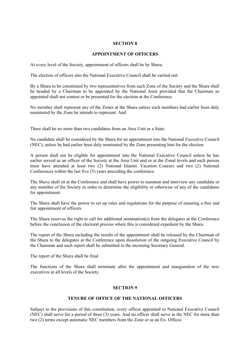# **SECTION 8**

#### **APPOINTMENT OF OFFICERS**

At every level of the Society, appointment of officers shall be by Shura.

The election of officers into the National Executive Council shall be carried out:

By a Shura to be constituted by two representatives from each Zone of the Society and the Shura shall be headed by a Chairman to be appointed by the National Amir provided that the Chairman so appointed shall not contest or be presented for the election at the Conference.

No member shall represent any of the Zones at the Shura unless such members had earlier been duly nominated by the Zone he intends to represent. And

There shall be no more than two candidates from an Area Unit or a State.

No candidate shall be considered by the Shura for an appointment into the National Executive Council (NEC), unless he had earlier been duly nominated by the Zone presenting him for the election.

A person shall not be eligible for appointment into the National Executive Council unless he has earlier served as an officer of the Society at the Area Unit and or at the Zonal levels and such person must have attended at least two (2) National Islamic Vacation Courses and two (2) National Conferences within the last five (5) years preceding the conference.

The *Shura* shall sit at the Conference and shall have power to summon and interview any candidate or any member of the Society in order to determine the eligibility or otherwise of any of the candidates for appointment.

The Shura shall have the power to set up rules and regulations for the purpose of ensuring a free and fair appointment of officers.

The Shura reserves the right to call for additional nomination(s) from the delegates at the Conference before the conclusion of the electoral process where this is considered expedient by the Shura.

The report of the Shura including the results of the appointment shall be released by the Chairman of the Shura to the delegates at the Conference upon dissolution of the outgoing Executive Council by the Chairman and such report shall be submitted to the incoming Secretary General.

The report of the Shura shall be final.

The functions of the Shura shall terminate after the appointment and inauguration of the new executives at all levels of the Society.

# **SECTION 9**

# **TENURE OF OFFICE OF THE NATIONAL OFFICERS**

Subject to the provisions of this constitution, every officer appointed to National Executive Council (NEC) shall serve for a period of three (3) years. And no officer shall serve in the NEC for more than two (2) terms except automatic NEC members from the Zone or as an Ex- Officio.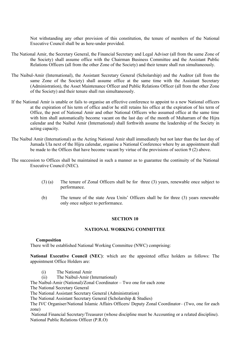Not withstanding any other provision of this constitution, the tenure of members of the National Executive Council shall be as here-under provided.

- The National Amir, the Secretary General, the Financial Secretary and Legal Adviser (all from the same Zone of the Society) shall assume office with the Chairman Business Committee and the Assistant Public Relations Officers (all from the other Zone of the Society) and their tenure shall run simultaneously.
- The Naibul-Amir (International), the Assistant Secretary General (Scholarship) and the Auditor (all from the same Zone of the Society) shall assume office at the same time with the Assistant Secretary (Administration), the Asset Maintenance Officer and Public Relations Officer (all from the other Zone of the Society) and their tenure shall run simultaneously.
- If the National Amir is unable or fails to organise an effective conference to appoint to a new National officers at the expiration of his term of office and/or he still retains his office at the expiration of his term of Office, the post of National Amir and other National Officers who assumed office at the same time with him shall automatically become vacant on the last day of the month of Muharram of the Hijra calendar and the Naibul Amir (International) shall forthwith assume the leadership of the Society in acting capacity.
- The Naibul Amir (International) as the Acting National Amir shall immediately but not later than the last day of Jumada Ula next of the Hijra calendar, organise a National Conference where by an appointment shall be made to the Offices that have become vacant by virtue of the provisions of section 9 (2) above.
- The succession to Offices shall be maintained in such a manner as to guarantee the continuity of the National Executive Council (NEC).
	- (3) (a) The tenure of Zonal Officers shall be for three (3) years, renewable once subject to performance.
	- (b) The tenure of the state Area Units' Officers shall be for three (3) years renewable only once subject to performance.

#### **SECTION 10**

#### **NATIONAL WORKING COMMITTEE**

#### **Composition**

There will be established National Working Committee (NWC) comprising:

**National Executive Council (NEC)**: which are the appointed office holders as follows: The appointment Office Holders are:

- (i) The National Amir
- (ii) The Naibul-Amir (International)

The Naibul-Amir (National)/Zonal Coordinator – Two one for each zone

The National Secretary General

The National Assistant Secretary General (Administration)

The National Assistant Secretary General (Scholarship & Studies)

The IVC Organiser/National Islamic Affairs Officers/ Deputy Zonal Coordinator– (Two, one for each zone)

 National Financial Secretary/Treasurer (whose discipline must be Accounting or a related discipline). National Public Relations Officer (P.R.O)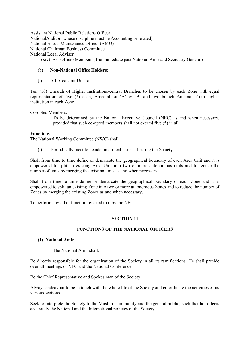Assistant National Public Relations Officer NationalAuditor (whose discipline must be Accounting or related) National Assets Maintenance Officer (AMO) National Chairman Business Committee National Legal Adviser (xiv) Ex- Officio Members (The immediate past National Amir and Secretary General)

(b) **Non-National Office Holders**:

(i) All Area Unit Umarah

Ten (10) Umarah of Higher Institutions/central Branches to be chosen by each Zone with equal representation of five (5) each, Ameerah of 'A' & 'B' and two branch Ameerah from higher institution in each Zone

#### Co-opted Members:

To be determined by the National Executive Council (NEC) as and when necessary, provided that such co-opted members shall not exceed five (5) in all.

#### **Functions**

The National Working Committee (NWC) shall:

(i) Periodically meet to decide on critical issues affecting the Society.

Shall from time to time define or demarcate the geographical boundary of each Area Unit and it is empowered to split an existing Area Unit into two or more autonomous units and to reduce the number of units by merging the existing units as and when necessary.

Shall from time to time define or demarcate the geographical boundary of each Zone and it is empowered to split an existing Zone into two or more autonomous Zones and to reduce the number of Zones by merging the existing Zones as and when necessary.

To perform any other function referred to it by the NEC

# **SECTION 11**

# **FUNCTIONS OF THE NATIONAL OFFICERS**

#### **(1) National Amir**

# The National Amir shall:

Be directly responsible for the organization of the Society in all its ramifications. He shall preside over all meetings of NEC and the National Conference.

Be the Chief Representative and Spokes man of the Society.

Always endeavour to be in touch with the whole life of the Society and co-ordinate the activities of its various sections.

Seek to interprete the Society to the Muslim Community and the general public, such that he reflects accurately the National and the International policies of the Society.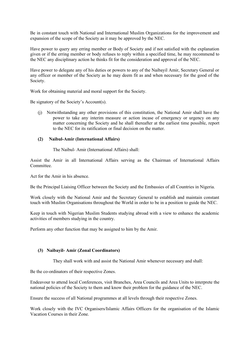Be in constant touch with National and International Muslim Organizations for the improvement and expansion of the scope of the Society as it may be approved by the NEC.

Have power to query any erring member or Body of Society and if not satisfied with the explanation given or if the erring member or body refuses to reply within a specified time, he may recommend to the NEC any disciplinary action he thinks fit for the consideration and approval of the NEC.

Have power to delegate any of his duties or powers to any of the Naibayil Amir, Secretary General or any officer or member of the Society as he may deem fit as and when necessary for the good of the Society.

Work for obtaining material and moral support for the Society.

Be signatory of the Society's Account(s).

(j) Notwithstanding any other provisions of this constitution, the National Amir shall have the power to take any interim measure or action incase of emergency or urgency on any matter concerning the Society and he shall thereafter at the earliest time possible, report to the NEC for its ratification or final decision on the matter.

#### **(2) Naibul-Amir (International Affairs)**

The Naibul- Amir (International Affairs) shall:

Assist the Amir in all International Affairs serving as the Chairman of International Affairs Committee.

Act for the Amir in his absence.

Be the Principal Liaising Officer between the Society and the Embassies of all Countries in Nigeria.

Work closely with the National Amir and the Secretary General to establish and maintain constant touch with Muslim Organisations throughout the World in order to be in a position to guide the NEC.

Keep in touch with Nigerian Muslim Students studying abroad with a view to enhance the academic activities of members studying in the country.

Perform any other function that may be assigned to him by the Amir.

#### **(3) Naibayil- Amir (Zonal Coordinators)**

They shall work with and assist the National Amir whenever necessary and shall:

Be the co-ordinators of their respective Zones.

Endeavour to attend local Conferences, visit Branches, Area Councils and Area Units to interprete the national policies of the Society to them and know their problem for the guidance of the NEC.

Ensure the success of all National programmes at all levels through their respective Zones.

Work closely with the IVC Organisers/Islamic Affairs Officers for the organisation of the Islamic Vacation Courses in their Zone.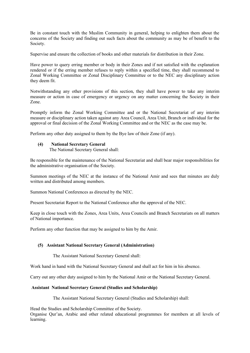Be in constant touch with the Muslim Community in general, helping to enlighten them about the concerns of the Society and finding out such facts about the community as may be of benefit to the Society.

Supervise and ensure the collection of books and other materials for distribution in their Zone.

Have power to query erring member or body in their Zones and if not satisfied with the explanation rendered or if the erring member refuses to reply within a specified time, they shall recommend to Zonal Working Committee or Zonal Disciplinary Committee or to the NEC any disciplinary action they deem fit.

Notwithstanding any other provisions of this section, they shall have power to take any interim measure or action in case of emergency or urgency on any matter concerning the Society in their Zone.

Promptly inform the Zonal Working Committee and or the National Secretariat of any interim measure or disciplinary action taken against any Area Council, Area Unit, Branch or individual for the approval or final decision of the Zonal Working Committee and or the NEC as the case may be.

Perform any other duty assigned to them by the Bye law of their Zone (if any).

# **(4) National Secretary General**

The National Secretary General shall:

Be responsible for the maintenance of the National Secretariat and shall bear major responsibilities for the administrative organisation of the Society.

Summon meetings of the NEC at the instance of the National Amir and sees that minutes are duly written and distributed among members.

Summon National Conferences as directed by the NEC.

Present Secretariat Report to the National Conference after the approval of the NEC.

Keep in close touch with the Zones, Area Units, Area Councils and Branch Secretariats on all matters of National importance.

Perform any other function that may be assigned to him by the Amir.

# **(5) Assistant National Secretary General (Administration)**

The Assistant National Secretary General shall:

Work hand in hand with the National Secretary General and shall act for him in his absence.

Carry out any other duty assigned to him by the National Amir or the National Secretary General.

# **Assistant National Secretary General (Studies and Scholarship)**

The Assistant National Secretary General (Studies and Scholarship) shall:

Head the Studies and Scholarship Committee of the Society.

Organise Qur'an, Arabic and other related educational programmes for members at all levels of learning.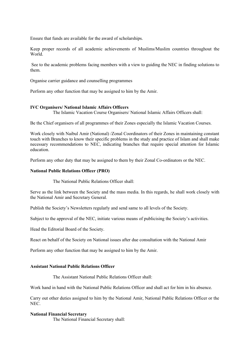Ensure that funds are available for the award of scholarships.

Keep proper records of all academic achievements of Muslims/Muslim countries throughout the World<sup>-</sup>

 See to the academic problems facing members with a view to guiding the NEC in finding solutions to them.

Organise carrier guidance and counselling programmes

Perform any other function that may be assigned to him by the Amir.

#### **IVC Organisers/ National Islamic Affairs Officers**

The Islamic Vacation Course Organisers/ National Islamic Affairs Officers shall:

Be the Chief organisers of all programmes of their Zones especially the Islamic Vacation Courses.

Work closely with Naibul Amir (National) /Zonal Coordinators of their Zones in maintaining constant touch with Branches to know their specific problems in the study and practice of Islam and shall make necessary recommendations to NEC, indicating branches that require special attention for Islamic education.

Perform any other duty that may be assigned to them by their Zonal Co-ordinators or the NEC.

#### **National Public Relations Officer (PRO)**

The National Public Relations Officer shall:

Serve as the link between the Society and the mass media. In this regards, he shall work closely with the National Amir and Secretary General.

Publish the Society's Newsletters regularly and send same to all levels of the Society.

Subject to the approval of the NEC, initiate various means of publicising the Society's activities.

Head the Editorial Board of the Society.

React on behalf of the Society on National issues after due consultation with the National Amir

Perform any other function that may be assigned to him by the Amir.

# **Assistant National Public Relations Officer**

The Assistant National Public Relations Officer shall:

Work hand in hand with the National Public Relations Officer and shall act for him in his absence.

Carry out other duties assigned to him by the National Amir, National Public Relations Officer or the NEC.

#### **National Financial Secretary**

The National Financial Secretary shall: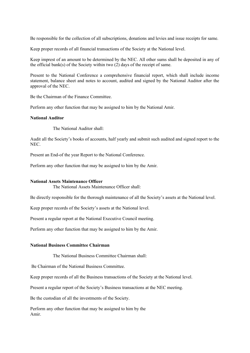Be responsible for the collection of all subscriptions, donations and levies and issue receipts for same.

Keep proper records of all financial transactions of the Society at the National level.

Keep imprest of an amount to be determined by the NEC. All other sums shall be deposited in any of the official bank(s) of the Society within two (2) days of the receipt of same.

Present to the National Conference a comprehensive financial report, which shall include income statement, balance sheet and notes to account, audited and signed by the National Auditor after the approval of the NEC.

Be the Chairman of the Finance Committee.

Perform any other function that may be assigned to him by the National Amir.

### **National Auditor**

The National Auditor shall:

Audit all the Society's books of accounts, half yearly and submit such audited and signed report to the NEC.

Present an End-of the year Report to the National Conference.

Perform any other function that may be assigned to him by the Amir.

#### **National Assets Maintenance Officer**

The National Assets Maintenance Officer shall:

Be directly responsible for the thorough maintenance of all the Society's assets at the National level.

Keep proper records of the Society's assets at the National level.

Present a regular report at the National Executive Council meeting.

Perform any other function that may be assigned to him by the Amir.

# **National Business Committee Chairman**

The National Business Committee Chairman shall:

Be Chairman of the National Business Committee.

Keep proper records of all the Business transactions of the Society at the National level.

Present a regular report of the Society's Business transactions at the NEC meeting.

Be the custodian of all the investments of the Society.

Perform any other function that may be assigned to him by the Amir.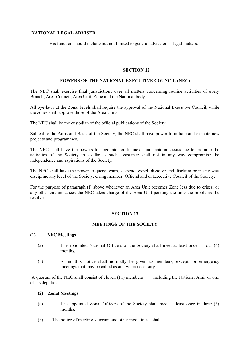# **NATIONAL LEGAL ADVISER**

His function should include but not limited to general advice on legal matters.

#### **SECTION 12**

#### **POWERS OF THE NATIONAL EXECUTIVE COUNCIL (NEC)**

The NEC shall exercise final jurisdictions over all matters concerning routine activities of every Branch, Area Council, Area Unit, Zone and the National body.

All bye-laws at the Zonal levels shall require the approval of the National Executive Council, while the zones shall approve those of the Area Units.

The NEC shall be the custodian of the official publications of the Society.

Subject to the Aims and Basis of the Society, the NEC shall have power to initiate and execute new projects and programmes.

The NEC shall have the powers to negotiate for financial and material assistance to promote the activities of the Society in so far as such assistance shall not in any way compromise the independence and aspirations of the Society.

The NEC shall have the power to query, warn, suspend, expel, dissolve and disclaim or in any way discipline any level of the Society, erring member, Official and or Executive Council of the Society.

For the purpose of paragraph (f) above whenever an Area Unit becomes Zone less due to crises, or any other circumstances the NEC takes charge of the Area Unit pending the time the problems be resolve.

#### **SECTION 13**

# **MEETINGS OF THE SOCIETY**

#### **(1) NEC Meetings**

- (a) The appointed National Officers of the Society shall meet at least once in four (4) months.
- (b) A month's notice shall normally be given to members, except for emergency meetings that may be called as and when necessary.

A quorum of the NEC shall consist of eleven (11) members including the National Amir or one of his deputies.

# **(2) Zonal Meetings**

- (a) The appointed Zonal Officers of the Society shall meet at least once in three (3) months.
- (b) The notice of meeting, quorum and other modalities shall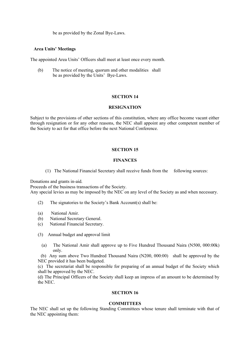be as provided by the Zonal Bye-Laws.

# **Area Units' Meetings**

The appointed Area Units' Officers shall meet at least once every month.

(b) The notice of meeting, quorum and other modalities shall be as provided by the Units' Bye-Laws.

# **SECTION 14**

#### **RESIGNATION**

Subject to the provisions of other sections of this constitution, where any office become vacant either through resignation or for any other reasons, the NEC shall appoint any other competent member of the Society to act for that office before the next National Conference.

# **SECTION 15**

#### **FINANCES**

(1) The National Financial Secretary shall receive funds from the following sources:

Donations and grants in-aid.

Proceeds of the business transactions of the Society.

Any special levies as may be imposed by the NEC on any level of the Society as and when necessary.

- (2) The signatories to the Society's Bank Account(s) shall be:
- (a) National Amir.
- (b) National Secretary General.
- (c) National Financial Secretary.
- (3) Annual budget and approval limit
	- (a) The National Amir shall approve up to Five Hundred Thousand Naira (N500, 000:00k) only.

 (b) Any sum above Two Hundred Thousand Naira (N200, 000:00) shall be approved by the NEC provided it has been budgeted.

(c) The secretariat shall be responsible for preparing of an annual budget of the Society which shall be approved by the NEC.

(d) The Principal Officers of the Society shall keep an impress of an amount to be determined by the NEC.

#### **SECTION 16**

#### **COMMITTEES**

The NEC shall set up the following Standing Committees whose tenure shall terminate with that of the NEC appointing them: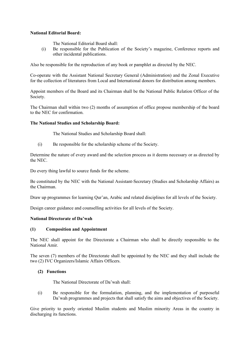# **National Editorial Board:**

The National Editorial Board shall:

(i) Be responsible for the Publication of the Society's magazine, Conference reports and other incidental publications.

Also be responsible for the reproduction of any book or pamphlet as directed by the NEC.

Co-operate with the Assistant National Secretary General (Administration) and the Zonal Executive for the collection of literatures from Local and International donors for distribution among members.

Appoint members of the Board and its Chairman shall be the National Public Relation Officer of the Society.

The Chairman shall within two (2) months of assumption of office propose membership of the board to the NEC for confirmation.

# **The National Studies and Scholarship Board:**

The National Studies and Scholarship Board shall:

(i) Be responsible for the scholarship scheme of the Society.

Determine the nature of every award and the selection process as it deems necessary or as directed by the NEC.

Do every thing lawful to source funds for the scheme.

Be constituted by the NEC with the National Assistant-Secretary (Studies and Scholarship Affairs) as the Chairman.

Draw up programmes for learning Qur'an, Arabic and related disciplines for all levels of the Society.

Design career guidance and counselling activities for all levels of the Society.

# **National Directorate of Da'wah**

# **(1) Composition and Appointment**

The NEC shall appoint for the Directorate a Chairman who shall be directly responsible to the National Amir.

The seven (7) members of the Directorate shall be appointed by the NEC and they shall include the two (2) IVC Organizers/Islamic Affairs Officers.

# **(2) Functions**

The National Directorate of Da'wah shall:

(i) Be responsible for the formulation, planning, and the implementation of purposeful Da'wah programmes and projects that shall satisfy the aims and objectives of the Society.

Give priority to poorly oriented Muslim students and Muslim minority Areas in the country in discharging its functions.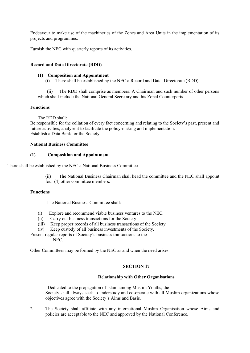Endeavour to make use of the machineries of the Zones and Area Units in the implementation of its projects and programmes.

Furnish the NEC with quarterly reports of its activities.

# **Record and Data Directorate (RDD)**

# **(1) Composition and Appointment**

(i) There shall be established by the NEC a Record and Data Directorate (RDD).

 (ii) The RDD shall comprise as members: A Chairman and such number of other persons which shall include the National General Secretary and his Zonal Counterparts.

#### **Functions**

The RDD shall:

Be responsible for the collation of every fact concerning and relating to the Society's past, present and future activities; analyse it to facilitate the policy-making and implementation. Establish a Data Bank for the Society.

#### **National Business Committee**

#### **(1) Composition and Appointment**

There shall be established by the NEC a National Business Committee.

(ii) The National Business Chairman shall head the committee and the NEC shall appoint four (4) other committee members.

# **Functions**

The National Business Committee shall:

- (i) Explore and recommend viable business ventures to the NEC.
- (ii) Carry out business transactions for the Society
- (iii) Keep proper records of all business transactions of the Society
- (iv) Keep custody of all business investments of the Society.

Present regular reports of Society's business transactions to the NEC.

Other Committees may be formed by the NEC as and when the need arises.

# **SECTION 17**

# **Relationship with Other Organisations**

 Dedicated to the propagation of Islam among Muslim Youths, the Society shall always seek to understudy and co-operate with all Muslim organizations whose objectives agree with the Society's Aims and Basis.

2. The Society shall affiliate with any international Muslim Organisation whose Aims and policies are acceptable to the NEC and approved by the National Conference.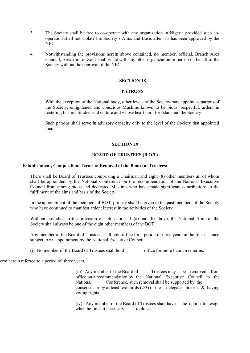- 3. The Society shall be free to co-operate with any organization in Nigeria provided such cooperation shall not violate the Society's Aims and Basis after it's has been approved by the NEC.
- 4. Notwithstanding the provisions herein above contained, no member, official, Branch Area Council, Area Unit or Zone shall relate with any other organization or person on behalf of the Society without the approval of the NEC.

# **SECTION 18**

# **PATRONS**

With the exception of the National body, other levels of the Society may appoint as patrons of the Society, enlightened and conscious Muslims known to be pious, respectful, ardent in fostering Islamic Studies and culture and whose heart burn for Islam and the Society.

Such patrons shall serve in advisory capacity only to the level of the Society that appointed them.

#### **SECTION 19**

# **BOARD OF TRUSTEES (B.O.T)**

#### **Establishment, Composition, Terms & Removal of the Board of Trustees:**

There shall be Board of Trustees comprising a Chairman and eight (8) other members all of whom shall be appointed by the National Conference on the recommendation of the National Executive Council from among pious and dedicated Muslims who have made significant contributions to the fulfilment of the aims and basis of the Society.

In the appointment of the members of BOT, priority shall be given to the past members of the Society who have continued to manifest ardent interest in the activities of the Society.

Without prejudice to the provision of sub-sections 1 (a) and (b) above, the National Amir of the Society shall always be one of the eight other members of the BOT.

Any member of the Board of Trustees shall hold office for a period of three years in the first instance subject to re- appointment by the National Executive Council.

(i) No member of the Board of Trustees shall hold office for more than three terms.

erm herein referred to a period of three years.

(iii) Any member of the Board of Trustees may be removed from office on a recommendation by the National Executive Council to the National Conference, such removal shall be supported by the consensus or by at least two thirds  $(2/3)$  of the delegates present & having voting rights.

(iv) Any member of the Board of Trustees shall have the option to resign when he finds it necessary to do so.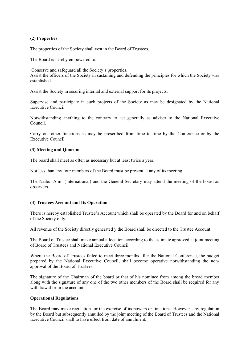# **(2) Properties**

The properties of the Society shall vest in the Board of Trustees.

The Board is hereby empowered to:

 Conserve and safeguard all the Society's properties. Assist the officers of the Society in sustaining and defending the principles for which the Society was established.

Assist the Society in securing internal and external support for its projects.

Supervise and participate in such projects of the Society as may be designated by the National Executive Council.

Notwithstanding anything to the contrary to act generally as adviser to the National Executive Council.

Carry out other functions as may be prescribed from time to time by the Conference or by the Executive Council.

# **(3) Meeting and Quorum**

The board shall meet as often as necessary but at least twice a year.

Not less than any four members of the Board must be present at any of its meeting.

The Naibul-Amir (International) and the General Secretary may attend the meeting of the board as observers.

# **(4) Trustees Account and Its Operation**

There is hereby established Trustee's Account which shall be operated by the Board for and on behalf of the Society only.

All revenue of the Society directly generated y the Board shall be directed to the Trustee Account.

The Board of Trustee shall make annual allocation according to the estimate approved at joint meeting of Board of Trustees and National Executive Council.

Where the Board of Trustees failed to meet three months after the National Conference, the budget prepared by the National Executive Council, shall become operative notwithstanding the nonapproval of the Board of Trustees.

The signature of the Chairman of the board or that of his nominee from among the broad member along with the signature of any one of the two other members of the Board shall be required for any withdrawal from the account.

# **Operational Regulations**

The Board may make regulation for the exercise of its powers or functions. However, any regulation by the Board but subsequently annulled by the joint meeting of the Board of Trustees and the National Executive Council shall to have effect from date of annulment.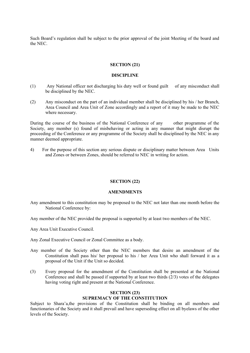Such Board's regulation shall be subject to the prior approval of the joint Meeting of the board and the NEC.

#### **SECTION (21)**

#### **DISCIPLINE**

- (1) Any National officer not discharging his duty well or found guilt of any misconduct shall be disciplined by the NEC.
- (2) Any misconduct on the part of an individual member shall be disciplined by his / her Branch, Area Council and Area Unit of Zone accordingly and a report of it may be made to the NEC where necessary.

During the course of the business of the National Conference of any other programme of the Society, any member (s) found of misbehaving or acting in any manner that might disrupt the proceeding of the Conference or any programme of the Society shall be disciplined by the NEC in any manner deemed appropriate.

4) For the purpose of this section any serious dispute or disciplinary matter between Area Units and Zones or between Zones, should be referred to NEC in writing for action.

#### **SECTION (22)**

#### **AMENDMENTS**

- Any amendment to this constitution may be proposed to the NEC not later than one month before the National Conference by:
- Any member of the NEC provided the proposal is supported by at least two members of the NEC.
- Any Area Unit Executive Council.
- Any Zonal Executive Council or Zonal Committee as a body.
- Any member of the Society other than the NEC members that desire an amendment of the Constitution shall pass his/ her proposal to his / her Area Unit who shall forward it as a proposal of the Unit if the Unit so decided.
- (3) Every proposal for the amendment of the Constitution shall be presented at the National Conference and shall be passed if supported by at least two thirds (2/3) votes of the delegates having voting right and present at the National Conference.

#### **SECTION (23)**

# **SUPREMACY OF THE CONSTITUTION**

Subject to Shara'a,the provisions of the Constitution shall be binding on all members and functionaries of the Society and it shall prevail and have superseding effect on all byelaws of the other levels of the Society.